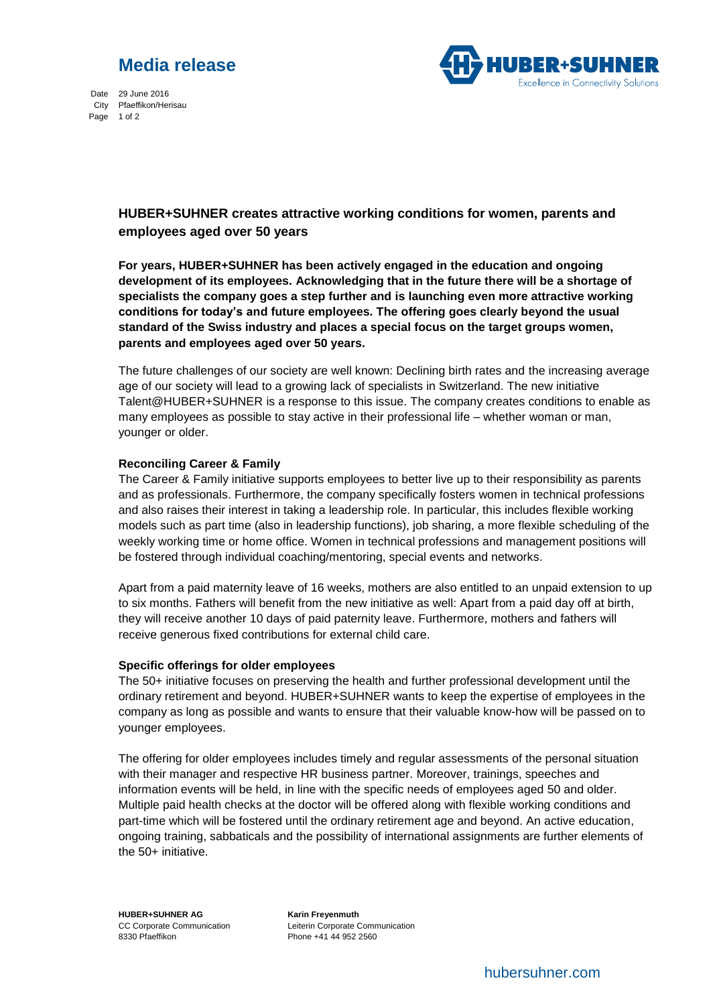



Date 29 June 2016 City Pfaeffikon/Herisau Page 1 of 2

## **HUBER+SUHNER creates attractive working conditions for women, parents and employees aged over 50 years**

**For years, HUBER+SUHNER has been actively engaged in the education and ongoing development of its employees. Acknowledging that in the future there will be a shortage of specialists the company goes a step further and is launching even more attractive working conditions for today's and future employees. The offering goes clearly beyond the usual standard of the Swiss industry and places a special focus on the target groups women, parents and employees aged over 50 years.**

The future challenges of our society are well known: Declining birth rates and the increasing average age of our society will lead to a growing lack of specialists in Switzerland. The new initiative Talent@HUBER+SUHNER is a response to this issue. The company creates conditions to enable as many employees as possible to stay active in their professional life – whether woman or man, younger or older.

## **Reconciling Career & Family**

The Career & Family initiative supports employees to better live up to their responsibility as parents and as professionals. Furthermore, the company specifically fosters women in technical professions and also raises their interest in taking a leadership role. In particular, this includes flexible working models such as part time (also in leadership functions), job sharing, a more flexible scheduling of the weekly working time or home office. Women in technical professions and management positions will be fostered through individual coaching/mentoring, special events and networks.

Apart from a paid maternity leave of 16 weeks, mothers are also entitled to an unpaid extension to up to six months. Fathers will benefit from the new initiative as well: Apart from a paid day off at birth, they will receive another 10 days of paid paternity leave. Furthermore, mothers and fathers will receive generous fixed contributions for external child care.

## **Specific offerings for older employees**

The 50+ initiative focuses on preserving the health and further professional development until the ordinary retirement and beyond. HUBER+SUHNER wants to keep the expertise of employees in the company as long as possible and wants to ensure that their valuable know-how will be passed on to younger employees.

The offering for older employees includes timely and regular assessments of the personal situation with their manager and respective HR business partner. Moreover, trainings, speeches and information events will be held, in line with the specific needs of employees aged 50 and older. Multiple paid health checks at the doctor will be offered along with flexible working conditions and part-time which will be fostered until the ordinary retirement age and beyond. An active education, ongoing training, sabbaticals and the possibility of international assignments are further elements of the 50+ initiative.

**HUBER+SUHNER AG Karin Freyenmuth** 8330 Pfaeffikon Phone +41 44 952 2560

CC Corporate Communication Leiterin Corporate Communication